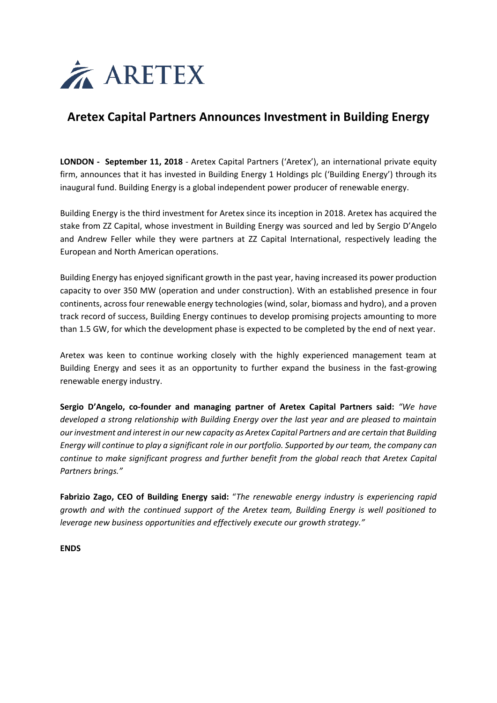

# **Aretex Capital Partners Announces Investment in Building Energy**

**LONDON - September 11, 2018** - Aretex Capital Partners ('Aretex'), an international private equity firm, announces that it has invested in Building Energy 1 Holdings plc ('Building Energy') through its inaugural fund. Building Energy is a global independent power producer of renewable energy.

Building Energy is the third investment for Aretex since its inception in 2018. Aretex has acquired the stake from ZZ Capital, whose investment in Building Energy was sourced and led by Sergio D'Angelo and Andrew Feller while they were partners at ZZ Capital International, respectively leading the European and North American operations.

Building Energy has enjoyed significant growth in the past year, having increased its power production capacity to over 350 MW (operation and under construction). With an established presence in four continents, across four renewable energy technologies (wind, solar, biomass and hydro), and a proven track record of success, Building Energy continues to develop promising projects amounting to more than 1.5 GW, for which the development phase is expected to be completed by the end of next year.

Aretex was keen to continue working closely with the highly experienced management team at Building Energy and sees it as an opportunity to further expand the business in the fast-growing renewable energy industry.

**Sergio D'Angelo, co-founder and managing partner of Aretex Capital Partners said:** *"We have developed a strong relationship with Building Energy over the last year and are pleased to maintain our investment and interest in our new capacity as Aretex Capital Partners and are certain that Building Energy will continue to play a significant role in our portfolio. Supported by our team, the company can continue to make significant progress and further benefit from the global reach that Aretex Capital Partners brings."*

**Fabrizio Zago, CEO of Building Energy said:** "*The renewable energy industry is experiencing rapid growth and with the continued support of the Aretex team, Building Energy is well positioned to leverage new business opportunities and effectively execute our growth strategy."*

**ENDS**